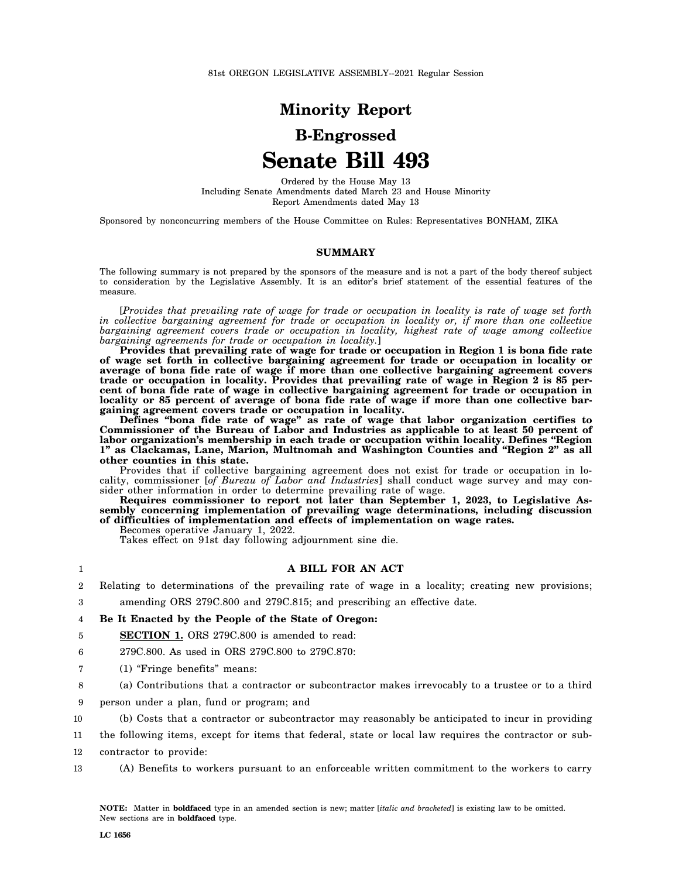81st OREGON LEGISLATIVE ASSEMBLY--2021 Regular Session

## **Minority Report**

# **B-Engrossed Senate Bill 493**

Ordered by the House May 13 Including Senate Amendments dated March 23 and House Minority Report Amendments dated May 13

Sponsored by nonconcurring members of the House Committee on Rules: Representatives BONHAM, ZIKA

### **SUMMARY**

The following summary is not prepared by the sponsors of the measure and is not a part of the body thereof subject to consideration by the Legislative Assembly. It is an editor's brief statement of the essential features of the measure.

[*Provides that prevailing rate of wage for trade or occupation in locality is rate of wage set forth in collective bargaining agreement for trade or occupation in locality or, if more than one collective bargaining agreement covers trade or occupation in locality, highest rate of wage among collective bargaining agreements for trade or occupation in locality.*]

**Provides that prevailing rate of wage for trade or occupation in Region 1 is bona fide rate of wage set forth in collective bargaining agreement for trade or occupation in locality or average of bona fide rate of wage if more than one collective bargaining agreement covers trade or occupation in locality. Provides that prevailing rate of wage in Region 2 is 85 percent of bona fide rate of wage in collective bargaining agreement for trade or occupation in locality or 85 percent of average of bona fide rate of wage if more than one collective bargaining agreement covers trade or occupation in locality.**

**Defines "bona fide rate of wage" as rate of wage that labor organization certifies to Commissioner of the Bureau of Labor and Industries as applicable to at least 50 percent of labor organization's membership in each trade or occupation within locality. Defines "Region 1" as Clackamas, Lane, Marion, Multnomah and Washington Counties and "Region 2" as all other counties in this state.**

Provides that if collective bargaining agreement does not exist for trade or occupation in locality, commissioner [*of Bureau of Labor and Industries*] shall conduct wage survey and may consider other information in order to determine prevailing rate of wage.

**Requires commissioner to report not later than September 1, 2023, to Legislative Assembly concerning implementation of prevailing wage determinations, including discussion of difficulties of implementation and effects of implementation on wage rates.**

Becomes operative January 1, 2022.

Takes effect on 91st day following adjournment sine die.

### **A BILL FOR AN ACT**

 $\overline{2}$  $\overline{Q}$ Relating to determinations of the prevailing rate of wage in a locality; creating new provisions; amending ORS 279C.800 and 279C.815; and prescribing an effective date.

### 4 **Be It Enacted by the People of the State of Oregon:**

5 **SECTION 1.** ORS 279C.800 is amended to read:

6 279C.800. As used in ORS 279C.800 to 279C.870:

- 7 (1) "Fringe benefits" means:
- 8 (a) Contributions that a contractor or subcontractor makes irrevocably to a trustee or to a third
- 9 person under a plan, fund or program; and
- 10 (b) Costs that a contractor or subcontractor may reasonably be anticipated to incur in providing

11 the following items, except for items that federal, state or local law requires the contractor or sub-

- 12 contractor to provide:
- 13 (A) Benefits to workers pursuant to an enforceable written commitment to the workers to carry

1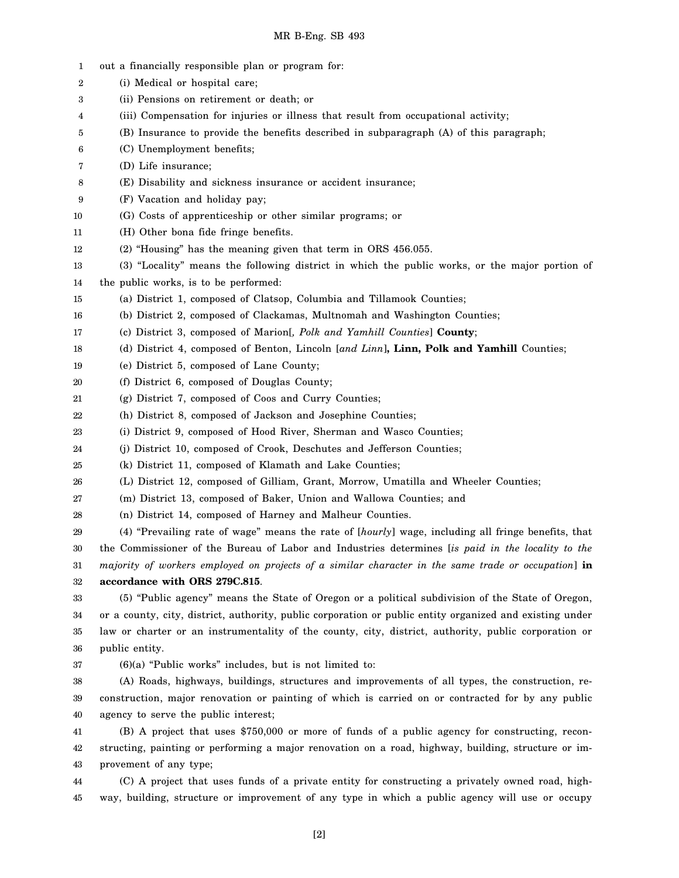| $\mathbf{1}$ | out a financially responsible plan or program for:                                                       |
|--------------|----------------------------------------------------------------------------------------------------------|
| 2            | (i) Medical or hospital care;                                                                            |
| 3            | (ii) Pensions on retirement or death; or                                                                 |
| 4            | (iii) Compensation for injuries or illness that result from occupational activity;                       |
| 5            | (B) Insurance to provide the benefits described in subparagraph (A) of this paragraph;                   |
| 6            | (C) Unemployment benefits;                                                                               |
| 7            | (D) Life insurance;                                                                                      |
| 8            | (E) Disability and sickness insurance or accident insurance;                                             |
| 9            | (F) Vacation and holiday pay;                                                                            |
| 10           | (G) Costs of apprenticeship or other similar programs; or                                                |
| 11           | (H) Other bona fide fringe benefits.                                                                     |
| 12           | (2) "Housing" has the meaning given that term in ORS 456.055.                                            |
| 13           | (3) "Locality" means the following district in which the public works, or the major portion of           |
| 14           | the public works, is to be performed:                                                                    |
| 15           | (a) District 1, composed of Clatsop, Columbia and Tillamook Counties;                                    |
| 16           | (b) District 2, composed of Clackamas, Multnomah and Washington Counties;                                |
| 17           | (c) District 3, composed of Marion[, Polk and Yamhill Counties] County;                                  |
| 18           | (d) District 4, composed of Benton, Lincoln [and Linn], Linn, Polk and Yamhill Counties;                 |
| 19           | (e) District 5, composed of Lane County;                                                                 |
| 20           | (f) District 6, composed of Douglas County;                                                              |
| 21           | (g) District 7, composed of Coos and Curry Counties;                                                     |
| 22           | (h) District 8, composed of Jackson and Josephine Counties;                                              |
| 23           | (i) District 9, composed of Hood River, Sherman and Wasco Counties;                                      |
| 24           | (j) District 10, composed of Crook, Deschutes and Jefferson Counties;                                    |
| 25           | (k) District 11, composed of Klamath and Lake Counties;                                                  |
| 26           | (L) District 12, composed of Gilliam, Grant, Morrow, Umatilla and Wheeler Counties;                      |
| 27           | (m) District 13, composed of Baker, Union and Wallowa Counties; and                                      |
| 28           | (n) District 14, composed of Harney and Malheur Counties.                                                |
| 29           | (4) "Prevailing rate of wage" means the rate of [hourly] wage, including all fringe benefits, that       |
| 30           | the Commissioner of the Bureau of Labor and Industries determines [is paid in the locality to the        |
| 31           | majority of workers employed on projects of a similar character in the same trade or occupation] in      |
| 32           | accordance with ORS 279C.815.                                                                            |
| 33           | (5) "Public agency" means the State of Oregon or a political subdivision of the State of Oregon,         |
| 34           | or a county, city, district, authority, public corporation or public entity organized and existing under |
| 35           | law or charter or an instrumentality of the county, city, district, authority, public corporation or     |
| 36           | public entity.                                                                                           |
| 37           | $(6)(a)$ "Public works" includes, but is not limited to:                                                 |
| 38           | (A) Roads, highways, buildings, structures and improvements of all types, the construction, re-          |
| 39           | construction, major renovation or painting of which is carried on or contracted for by any public        |
| 40           | agency to serve the public interest;                                                                     |
| 41           | (B) A project that uses \$750,000 or more of funds of a public agency for constructing, recon-           |
| 42           | structing, painting or performing a major renovation on a road, highway, building, structure or im-      |
| 43           | provement of any type;                                                                                   |
| 44           | (C) A project that uses funds of a private entity for constructing a privately owned road, high-         |
| 45           | way, building, structure or improvement of any type in which a public agency will use or occupy          |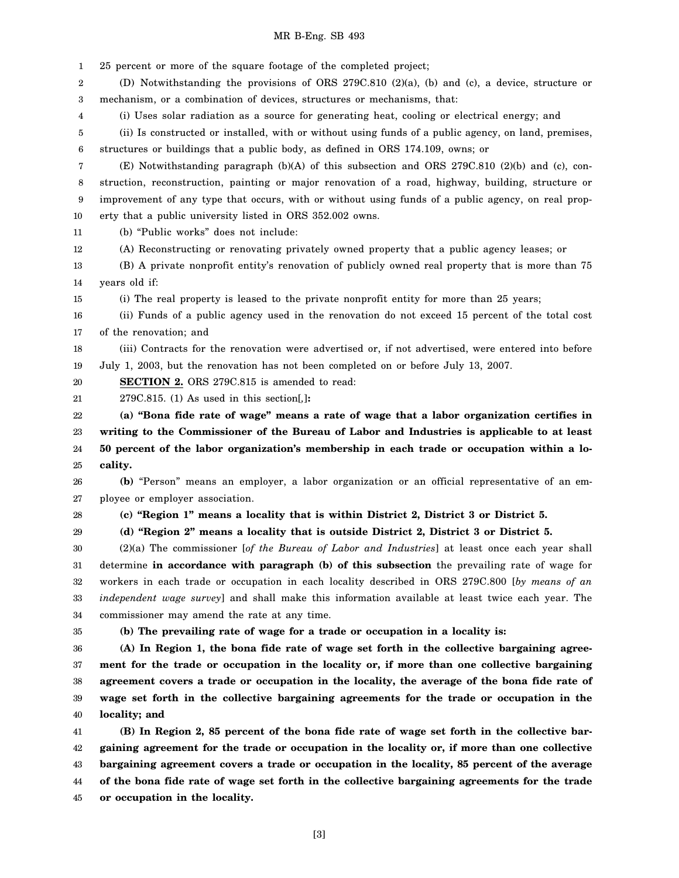### MR B-Eng. SB 493

1 2 3 4 5 6 7 8 9 10 11 12 13 14 15 16 17 18 19 20 21 22 23 24 25 26 27 28 29 30 31 32 33 34 35 36 37 38 25 percent or more of the square footage of the completed project; (D) Notwithstanding the provisions of ORS 279C.810 (2)(a), (b) and (c), a device, structure or mechanism, or a combination of devices, structures or mechanisms, that: (i) Uses solar radiation as a source for generating heat, cooling or electrical energy; and (ii) Is constructed or installed, with or without using funds of a public agency, on land, premises, structures or buildings that a public body, as defined in ORS 174.109, owns; or (E) Notwithstanding paragraph (b)(A) of this subsection and ORS 279C.810 (2)(b) and (c), construction, reconstruction, painting or major renovation of a road, highway, building, structure or improvement of any type that occurs, with or without using funds of a public agency, on real property that a public university listed in ORS 352.002 owns. (b) "Public works" does not include: (A) Reconstructing or renovating privately owned property that a public agency leases; or (B) A private nonprofit entity's renovation of publicly owned real property that is more than 75 years old if: (i) The real property is leased to the private nonprofit entity for more than 25 years; (ii) Funds of a public agency used in the renovation do not exceed 15 percent of the total cost of the renovation; and (iii) Contracts for the renovation were advertised or, if not advertised, were entered into before July 1, 2003, but the renovation has not been completed on or before July 13, 2007. **SECTION 2.** ORS 279C.815 is amended to read: 279C.815. (1) As used in this section[*,*]**: (a) "Bona fide rate of wage" means a rate of wage that a labor organization certifies in writing to the Commissioner of the Bureau of Labor and Industries is applicable to at least 50 percent of the labor organization's membership in each trade or occupation within a locality. (b)** "Person" means an employer, a labor organization or an official representative of an employee or employer association. **(c) "Region 1" means a locality that is within District 2, District 3 or District 5. (d) "Region 2" means a locality that is outside District 2, District 3 or District 5.** (2)(a) The commissioner [*of the Bureau of Labor and Industries*] at least once each year shall determine **in accordance with paragraph (b) of this subsection** the prevailing rate of wage for workers in each trade or occupation in each locality described in ORS 279C.800 [*by means of an independent wage survey*] and shall make this information available at least twice each year. The commissioner may amend the rate at any time. **(b) The prevailing rate of wage for a trade or occupation in a locality is: (A) In Region 1, the bona fide rate of wage set forth in the collective bargaining agreement for the trade or occupation in the locality or, if more than one collective bargaining agreement covers a trade or occupation in the locality, the average of the bona fide rate of**

39 40 **wage set forth in the collective bargaining agreements for the trade or occupation in the locality; and**

41 42 43 44 45 **(B) In Region 2, 85 percent of the bona fide rate of wage set forth in the collective bargaining agreement for the trade or occupation in the locality or, if more than one collective bargaining agreement covers a trade or occupation in the locality, 85 percent of the average of the bona fide rate of wage set forth in the collective bargaining agreements for the trade or occupation in the locality.**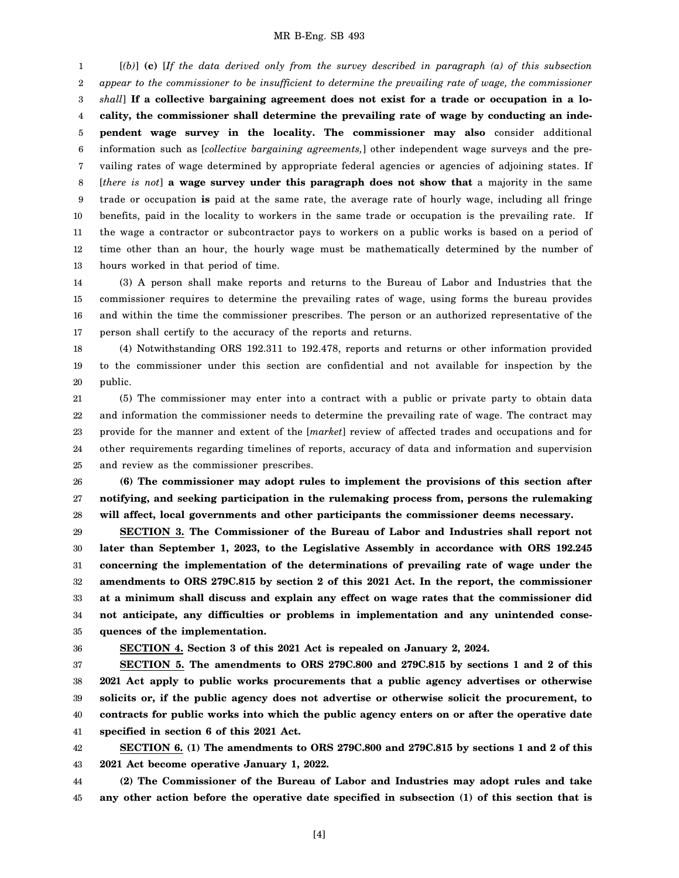### MR B-Eng. SB 493

1 2 3 4 5 6 7 8 9 10 11 12 13 [*(b)*] **(c)** [*If the data derived only from the survey described in paragraph (a) of this subsection appear to the commissioner to be insufficient to determine the prevailing rate of wage, the commissioner shall*] **If a collective bargaining agreement does not exist for a trade or occupation in a locality, the commissioner shall determine the prevailing rate of wage by conducting an independent wage survey in the locality. The commissioner may also** consider additional information such as [*collective bargaining agreements,*] other independent wage surveys and the prevailing rates of wage determined by appropriate federal agencies or agencies of adjoining states. If [*there is not*] **a wage survey under this paragraph does not show that** a majority in the same trade or occupation **is** paid at the same rate, the average rate of hourly wage, including all fringe benefits, paid in the locality to workers in the same trade or occupation is the prevailing rate. If the wage a contractor or subcontractor pays to workers on a public works is based on a period of time other than an hour, the hourly wage must be mathematically determined by the number of hours worked in that period of time.

14 15 16 17 (3) A person shall make reports and returns to the Bureau of Labor and Industries that the commissioner requires to determine the prevailing rates of wage, using forms the bureau provides and within the time the commissioner prescribes. The person or an authorized representative of the person shall certify to the accuracy of the reports and returns.

18 19 20 (4) Notwithstanding ORS 192.311 to 192.478, reports and returns or other information provided to the commissioner under this section are confidential and not available for inspection by the public.

21 22 23 24 25 (5) The commissioner may enter into a contract with a public or private party to obtain data and information the commissioner needs to determine the prevailing rate of wage. The contract may provide for the manner and extent of the [*market*] review of affected trades and occupations and for other requirements regarding timelines of reports, accuracy of data and information and supervision and review as the commissioner prescribes.

26 27 28 **(6) The commissioner may adopt rules to implement the provisions of this section after notifying, and seeking participation in the rulemaking process from, persons the rulemaking will affect, local governments and other participants the commissioner deems necessary.**

29 30 31 32 33 34 35 **SECTION 3. The Commissioner of the Bureau of Labor and Industries shall report not later than September 1, 2023, to the Legislative Assembly in accordance with ORS 192.245 concerning the implementation of the determinations of prevailing rate of wage under the amendments to ORS 279C.815 by section 2 of this 2021 Act. In the report, the commissioner at a minimum shall discuss and explain any effect on wage rates that the commissioner did not anticipate, any difficulties or problems in implementation and any unintended consequences of the implementation.**

36

**SECTION 4. Section 3 of this 2021 Act is repealed on January 2, 2024.**

37 38 39 40 41 **SECTION 5. The amendments to ORS 279C.800 and 279C.815 by sections 1 and 2 of this 2021 Act apply to public works procurements that a public agency advertises or otherwise solicits or, if the public agency does not advertise or otherwise solicit the procurement, to contracts for public works into which the public agency enters on or after the operative date specified in section 6 of this 2021 Act.**

42 43 **SECTION 6. (1) The amendments to ORS 279C.800 and 279C.815 by sections 1 and 2 of this 2021 Act become operative January 1, 2022.**

44 45 **(2) The Commissioner of the Bureau of Labor and Industries may adopt rules and take any other action before the operative date specified in subsection (1) of this section that is**